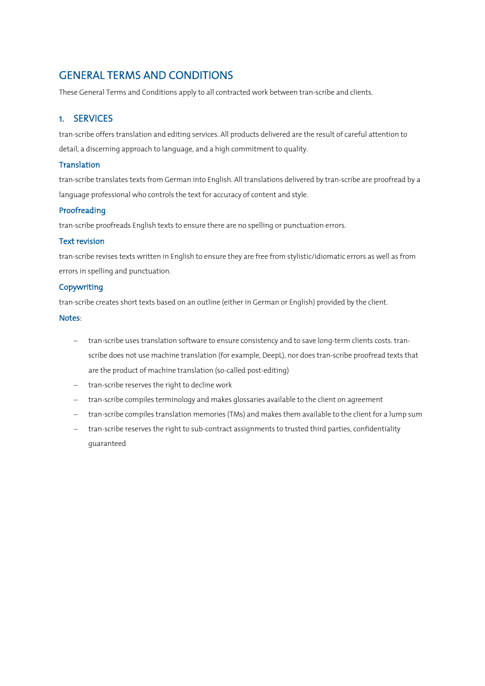# GENERAL TERMS AND CONDITIONS

These General Terms and Conditions apply to all contracted work between tran-scribe and clients.

# 1. SERVICES

tran-scribe offers translation and editing services. All products delivered are the result of careful attention to detail, a discerning approach to language, and a high commitment to quality.

### **Translation**

tran-scribe translates texts from German into English. All translations delivered by tran-scribe are proofread by a language professional who controls the text for accuracy of content and style.

### Proofreading

tran-scribe proofreads English texts to ensure there are no spelling or punctuation errors.

#### Text revision

tran-scribe revises texts written in English to ensure they are free from stylistic/idiomatic errors as well as from errors in spelling and punctuation.

#### Copywriting

tran-scribe creates short texts based on an outline (either in German or English) provided by the client.

#### Notes:

- tran-scribe uses translation software to ensure consistency and to save long-term clients costs. transcribe does not use machine translation (for example, DeepL), nor does tran-scribe proofread texts that are the product of machine translation (so-called post-editing)
- tran-scribe reserves the right to decline work
- tran-scribe compiles terminology and makes glossaries available to the client on agreement
- tran-scribe compiles translation memories (TMs) and makes them available to the client for a lump sum
- tran-scribe reserves the right to sub-contract assignments to trusted third parties, confidentiality guaranteed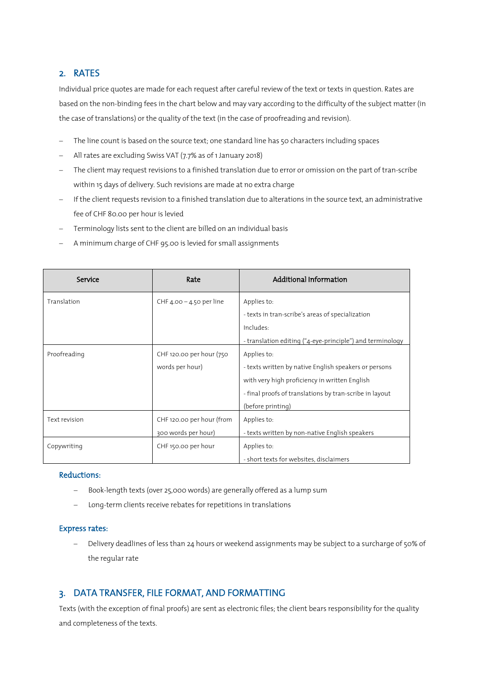# 2. RATES

Individual price quotes are made for each request after careful review of the text or texts in question. Rates are based on the non-binding fees in the chart below and may vary according to the difficulty of the subject matter (in the case of translations) or the quality of the text (in the case of proofreading and revision).

- The line count is based on the source text; one standard line has 50 characters including spaces
- All rates are excluding Swiss VAT (7.7% as of 1 January 2018)
- The client may request revisions to a finished translation due to error or omission on the part of tran-scribe within 15 days of delivery. Such revisions are made at no extra charge
- If the client requests revision to a finished translation due to alterations in the source text, an administrative fee of CHF 80.00 per hour is levied
- Terminology lists sent to the client are billed on an individual basis
- A minimum charge of CHF 95.00 is levied for small assignments

| Service       | Rate                      | Additional Information                                    |
|---------------|---------------------------|-----------------------------------------------------------|
| Translation   | CHF 4.00 - 4.50 per line  | Applies to:                                               |
|               |                           | - texts in tran-scribe's areas of specialization          |
|               |                           | Includes:                                                 |
|               |                           | - translation editing ("4-eye-principle") and terminology |
| Proofreading  | CHF 120.00 per hour (750  | Applies to:                                               |
|               | words per hour)           | - texts written by native English speakers or persons     |
|               |                           | with very high proficiency in written English             |
|               |                           | - final proofs of translations by tran-scribe in layout   |
|               |                           | (before printing)                                         |
| Text revision | CHF 120.00 per hour (from | Applies to:                                               |
|               | 300 words per hour)       | - texts written by non-native English speakers            |
| Copywriting   | CHF 150.00 per hour       | Applies to:                                               |
|               |                           | - short texts for websites, disclaimers                   |

#### Reductions:

- Book-length texts (over 25,000 words) are generally offered as a lump sum
- Long-term clients receive rebates for repetitions in translations

#### Express rates:

Delivery deadlines of less than 24 hours or weekend assignments may be subject to a surcharge of 50% of the regular rate

# 3. DATA TRANSFER, FILE FORMAT, AND FORMATTING

Texts (with the exception of final proofs) are sent as electronic files; the client bears responsibility for the quality and completeness of the texts.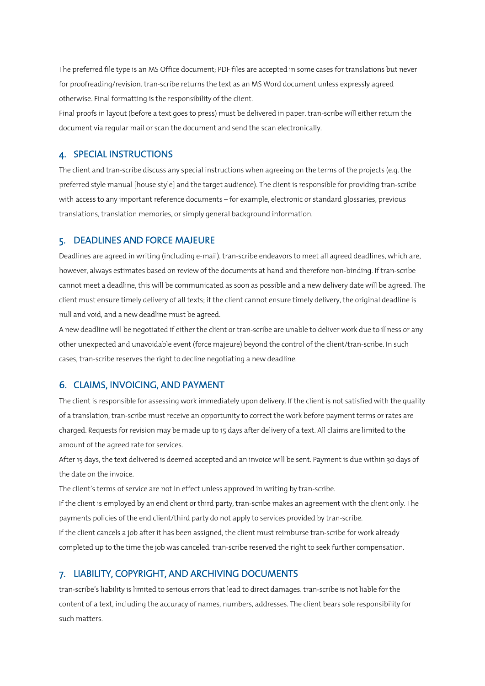The preferred file type is an MS Office document; PDF files are accepted in some cases for translations but never for proofreading/revision. tran-scribe returns the text as an MS Word document unless expressly agreed otherwise. Final formatting is the responsibility of the client.

Final proofs in layout (before a text goes to press) must be delivered in paper. tran-scribe will either return the document via regular mail or scan the document and send the scan electronically.

### 4. SPECIAL INSTRUCTIONS

The client and tran-scribe discuss any special instructions when agreeing on the terms of the projects (e.g. the preferred style manual [house style] and the target audience). The client is responsible for providing tran-scribe with access to any important reference documents – for example, electronic or standard glossaries, previous translations, translation memories, or simply general background information.

## 5. DEADLINES AND FORCE MAJEURE

Deadlines are agreed in writing (including e-mail). tran-scribe endeavors to meet all agreed deadlines, which are, however, always estimates based on review of the documents at hand and therefore non-binding. If tran-scribe cannot meet a deadline, this will be communicated as soon as possible and a new delivery date will be agreed. The client must ensure timely delivery of all texts; if the client cannot ensure timely delivery, the original deadline is null and void, and a new deadline must be agreed.

A new deadline will be negotiated if either the client or tran-scribe are unable to deliver work due to illness or any other unexpected and unavoidable event (force majeure) beyond the control of the client/tran-scribe. In such cases, tran-scribe reserves the right to decline negotiating a new deadline.

### 6. CLAIMS, INVOICING, AND PAYMENT

The client is responsible for assessing work immediately upon delivery. If the client is not satisfied with the quality of a translation, tran-scribe must receive an opportunity to correct the work before payment terms or rates are charged. Requests for revision may be made up to 15 days after delivery of a text. All claims are limited to the amount of the agreed rate for services.

After 15 days, the text delivered is deemed accepted and an invoice will be sent. Payment is due within 30 days of the date on the invoice.

The client's terms of service are not in effect unless approved in writing by tran-scribe.

If the client is employed by an end client or third party, tran-scribe makes an agreement with the client only. The payments policies of the end client/third party do not apply to services provided by tran-scribe.

If the client cancels a job after it has been assigned, the client must reimburse tran-scribe for work already completed up to the time the job was canceled. tran-scribe reserved the right to seek further compensation.

### 7. LIABILITY, COPYRIGHT, AND ARCHIVING DOCUMENTS

tran-scribe's liability is limited to serious errors that lead to direct damages. tran-scribe is not liable for the content of a text, including the accuracy of names, numbers, addresses. The client bears sole responsibility for such matters.